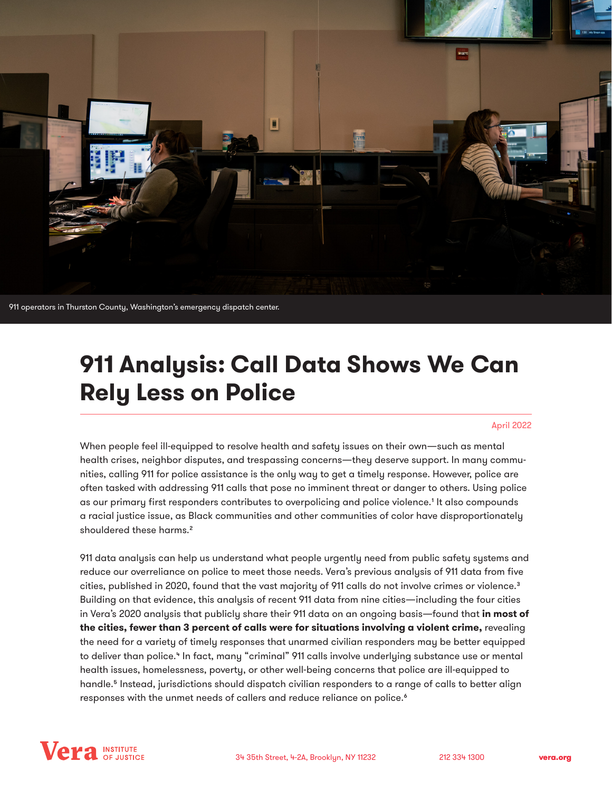

911 operators in Thurston County, Washington's emergency dispatch center.

# **911 Analysis: Call Data Shows We Can Rely Less on Police**

#### April 2022

When people feel ill-equipped to resolve health and safety issues on their own—such as mental health crises, neighbor disputes, and trespassing concerns—they deserve support. In many communities, calling 911 for police assistance is the only way to get a timely response. However, police are often tasked with addressing 911 calls that pose no imminent threat or danger to others. Using police as our primary first responders contributes to overpolicing and police violence.1 It also compounds a racial justice issue, as Black communities and other communities of color have disproportionately shouldered these harms.<sup>2</sup>

911 data analysis can help us understand what people urgently need from public safety systems and reduce our overreliance on police to meet those needs. Vera's previous analysis of 911 data from five cities, published in 2020, found that the vast majority of 911 calls do not involve crimes or violence.<sup>3</sup> Building on that evidence, this analysis of recent 911 data from nine cities—including the four cities in Vera's 2020 analysis that publicly share their 911 data on an ongoing basis—found that **in most of the cities, fewer than 3 percent of calls were for situations involving a violent crime,** revealing the need for a variety of timely responses that unarmed civilian responders may be better equipped to deliver than police.<sup>4</sup> In fact, many "criminal" 911 calls involve underlying substance use or mental health issues, homelessness, poverty, or other well-being concerns that police are ill-equipped to handle.<sup>5</sup> Instead, jurisdictions should dispatch civilian responders to a range of calls to better align responses with the unmet needs of callers and reduce reliance on police.<sup>6</sup>

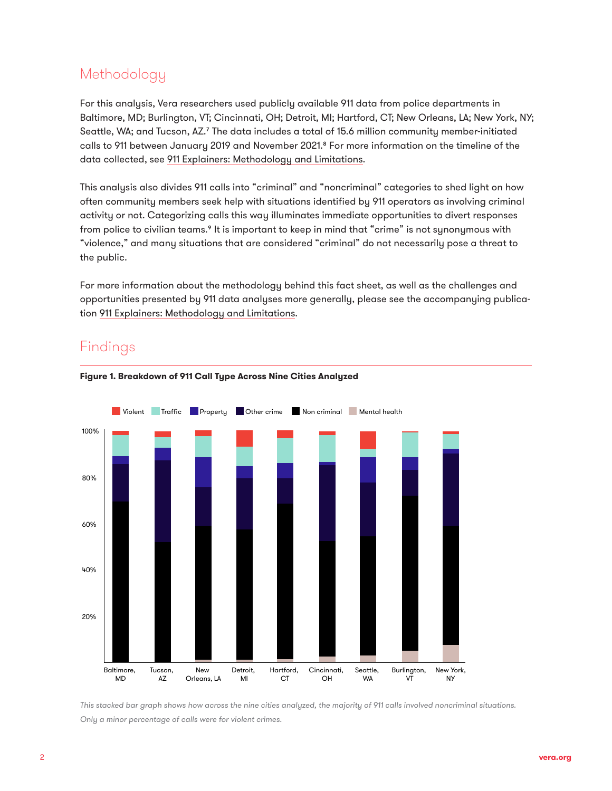## Methodology

For this analysis, Vera researchers used publicly available 911 data from police departments in Baltimore, MD; Burlington, VT; Cincinnati, OH; Detroit, MI; Hartford, CT; New Orleans, LA; New York, NY; Seattle, WA; and Tucson, AZ.7 The data includes a total of 15.6 million community member-initiated calls to 911 between January 2019 and November 2021.8 For more information on the timeline of the data collected, see [911 Explainers: Methodology and Limitations](https://www.vera.org/downloads/publications/911-analysis-methodology-and-limitations.pdf).

This analysis also divides 911 calls into "criminal" and "noncriminal" categories to shed light on how often community members seek help with situations identified by 911 operators as involving criminal activity or not. Categorizing calls this way illuminates immediate opportunities to divert responses from police to civilian teams.<sup>9</sup> It is important to keep in mind that "crime" is not synonymous with "violence," and many situations that are considered "criminal" do not necessarily pose a threat to the public.

For more information about the methodology behind this fact sheet, as well as the challenges and opportunities presented by 911 data analyses more generally, please see the accompanying publication [911 Explainers: Methodology and Limitations](https://www.vera.org/downloads/publications/911-analysis-methodology-and-limitations.pdf).

## Findings





*This stacked bar graph shows how across the nine cities analyzed, the majority of 911 calls involved noncriminal situations. Only a minor percentage of calls were for violent crimes.*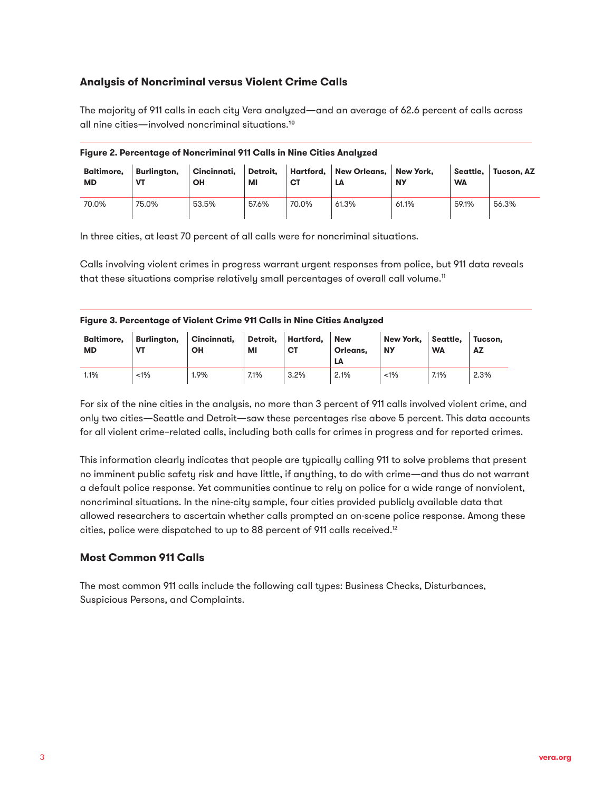### **Analysis of Noncriminal versus Violent Crime Calls**

The majority of 911 calls in each city Vera analyzed—and an average of 62.6 percent of calls across all nine cities—involved noncriminal situations.10

| <b>Baltimore,</b><br><b>MD</b> | Burlington,<br>VT | Cincinnati.<br>ΟН | Detroit.<br>МI | СT    | Hartford, New Orleans,<br>LA | New York.<br><b>NY</b> | Seattle.<br><b>WA</b> | Tucson, AZ |
|--------------------------------|-------------------|-------------------|----------------|-------|------------------------------|------------------------|-----------------------|------------|
| 70.0%                          | 75.0%             | 53.5%             | 57.6%          | 70.0% | 61.3%                        | 61.1%                  | 59.1%                 | 56.3%      |

**Figure 2. Percentage of Noncriminal 911 Calls in Nine Cities Analyzed** 

In three cities, at least 70 percent of all calls were for noncriminal situations.

Calls involving violent crimes in progress warrant urgent responses from police, but 911 data reveals that these situations comprise relatively small percentages of overall call volume.<sup>11</sup>

| Figure 3. Percentage of Violent Crime 911 Calls in Nine Cities Analyzed |  |  |  |
|-------------------------------------------------------------------------|--|--|--|
|                                                                         |  |  |  |
|                                                                         |  |  |  |
|                                                                         |  |  |  |

| <b>Baltimore.</b><br><b>MD</b> | <b>VT</b> | Burlington, Cincinnati,<br>ΟН | МI   | Detroit, Hartford,<br>СT | <b>New</b><br>Orleans.<br>LΑ | New York, Seattle,<br><b>NY</b> | <b>WA</b> | Tucson.<br>AZ |
|--------------------------------|-----------|-------------------------------|------|--------------------------|------------------------------|---------------------------------|-----------|---------------|
| 1.1%                           | $1\%$     | 1.9%                          | 7.1% | 3.2%                     | 2.1%                         | $1\%$                           | 7.1%      | 2.3%          |

For six of the nine cities in the analysis, no more than 3 percent of 911 calls involved violent crime, and only two cities—Seattle and Detroit—saw these percentages rise above 5 percent. This data accounts for all violent crime–related calls, including both calls for crimes in progress and for reported crimes.

This information clearly indicates that people are typically calling 911 to solve problems that present no imminent public safety risk and have little, if anything, to do with crime—and thus do not warrant a default police response. Yet communities continue to rely on police for a wide range of nonviolent, noncriminal situations. In the nine-city sample, four cities provided publicly available data that allowed researchers to ascertain whether calls prompted an on-scene police response. Among these cities, police were dispatched to up to 88 percent of 911 calls received.12

#### **Most Common 911 Calls**

The most common 911 calls include the following call types: Business Checks, Disturbances, Suspicious Persons, and Complaints.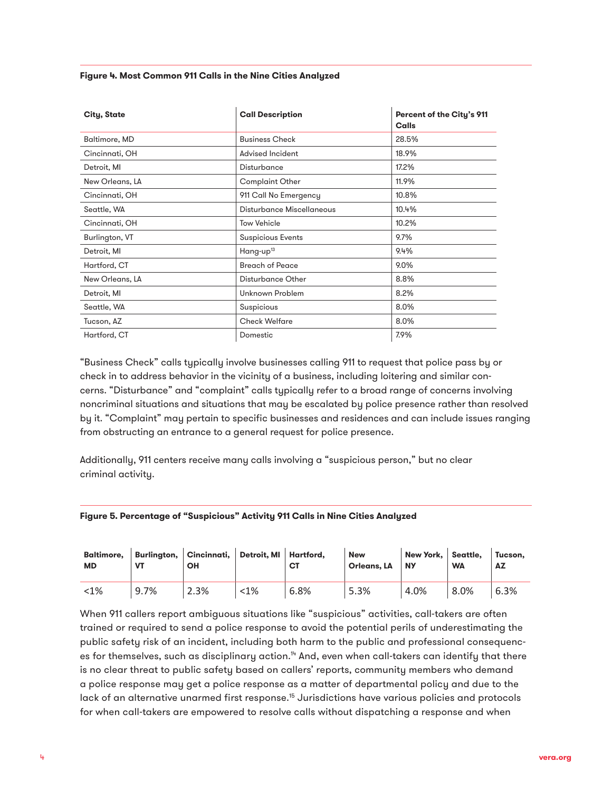#### **Figure 4. Most Common 911 Calls in the Nine Cities Analyzed**

| City, State     | <b>Call Description</b>   | Percent of the City's 911<br>Calls |
|-----------------|---------------------------|------------------------------------|
| Baltimore, MD   | <b>Business Check</b>     | 28.5%                              |
| Cincinnati, OH  | Advised Incident          | 18.9%                              |
| Detroit, MI     | Disturbance               | 17.2%                              |
| New Orleans, LA | <b>Complaint Other</b>    | 11.9%                              |
| Cincinnati, OH  | 911 Call No Emergency     | 10.8%                              |
| Seattle, WA     | Disturbance Miscellaneous | 10.4%                              |
| Cincinnati, OH  | <b>Tow Vehicle</b>        | 10.2%                              |
| Burlington, VT  | <b>Suspicious Events</b>  | 9.7%                               |
| Detroit, MI     | Hang-up <sup>13</sup>     | $9.4\%$                            |
| Hartford, CT    | <b>Breach of Peace</b>    | $9.0\%$                            |
| New Orleans, LA | Disturbance Other         | 8.8%                               |
| Detroit, MI     | Unknown Problem           | 8.2%                               |
| Seattle, WA     | Suspicious                | 8.0%                               |
| Tucson, AZ      | <b>Check Welfare</b>      | 8.0%                               |
| Hartford, CT    | Domestic                  | 7.9%                               |

"Business Check" calls typically involve businesses calling 911 to request that police pass by or check in to address behavior in the vicinity of a business, including loitering and similar concerns. "Disturbance" and "complaint" calls typically refer to a broad range of concerns involving noncriminal situations and situations that may be escalated by police presence rather than resolved by it. "Complaint" may pertain to specific businesses and residences and can include issues ranging from obstructing an entrance to a general request for police presence.

Additionally, 911 centers receive many calls involving a "suspicious person," but no clear criminal activity.

#### **Figure 5. Percentage of "Suspicious" Activity 911 Calls in Nine Cities Analyzed**

| MD      |      | Baltimore, Burlington, Cincinnati, Detroit, MI Hartford,<br>OН |         | C1   | <b>New</b><br>Orleans, LA | New York. Seattle.<br><b>NY</b> | <b>WA</b> | Tucson.<br>AZ |
|---------|------|----------------------------------------------------------------|---------|------|---------------------------|---------------------------------|-----------|---------------|
| $< 1\%$ | 9.7% | 2.3%                                                           | $< 1\%$ | 6.8% | 5.3%                      | 4.0%                            | 8.0%      | 6.3%          |

When 911 callers report ambiguous situations like "suspicious" activities, call-takers are often trained or required to send a police response to avoid the potential perils of underestimating the public safety risk of an incident, including both harm to the public and professional consequences for themselves, such as disciplinary action.<sup>14</sup> And, even when call-takers can identify that there is no clear threat to public safety based on callers' reports, community members who demand a police response may get a police response as a matter of departmental policy and due to the lack of an alternative unarmed first response.<sup>15</sup> Jurisdictions have various policies and protocols for when call-takers are empowered to resolve calls without dispatching a response and when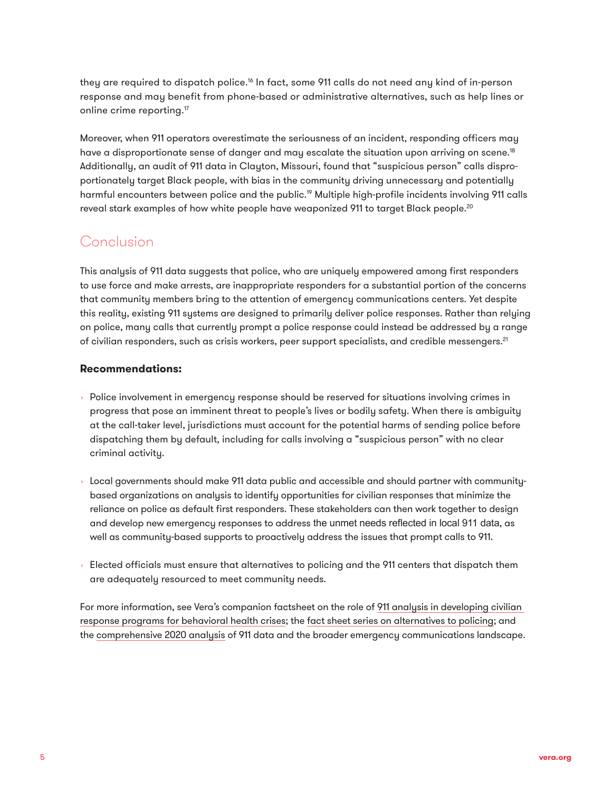they are required to dispatch police.<sup>16</sup> In fact, some 911 calls do not need any kind of in-person response and may benefit from phone-based or administrative alternatives, such as help lines or online crime reporting.<sup>17</sup>

Moreover, when 911 operators overestimate the seriousness of an incident, responding officers may have a disproportionate sense of danger and may escalate the situation upon arriving on scene.<sup>18</sup> Additionally, an audit of 911 data in Clayton, Missouri, found that "suspicious person" calls disproportionately target Black people, with bias in the community driving unnecessary and potentially harmful encounters between police and the public.19 Multiple high-profile incidents involving 911 calls reveal stark examples of how white people have weaponized 911 to target Black people.<sup>20</sup>

## Conclusion

This analysis of 911 data suggests that police, who are uniquely empowered among first responders to use force and make arrests, are inappropriate responders for a substantial portion of the concerns that community members bring to the attention of emergency communications centers. Yet despite this reality, existing 911 systems are designed to primarily deliver police responses. Rather than relying on police, many calls that currently prompt a police response could instead be addressed by a range of civilian responders, such as crisis workers, peer support specialists, and credible messengers.<sup>21</sup>

#### **Recommendations:**

- $\rightarrow$  Police involvement in emergency response should be reserved for situations involving crimes in progress that pose an imminent threat to people's lives or bodily safety. When there is ambiguity at the call-taker level, jurisdictions must account for the potential harms of sending police before dispatching them by default, including for calls involving a "suspicious person" with no clear criminal activity.
- Local governments should make 911 data public and accessible and should partner with communitybased organizations on analysis to identify opportunities for civilian responses that minimize the reliance on police as default first responders. These stakeholders can then work together to design and develop new emergency responses to address the unmet needs reflected in local 911 data, as well as community-based supports to proactively address the issues that prompt calls to 911.
- $\rightarrow$  Elected officials must ensure that alternatives to policing and the 911 centers that dispatch them are adequately resourced to meet community needs.

For more information, see Vera's companion factsheet on the role of [911 analysis in developing civilian](https://www.vera.org/downloads/publications/911-analysis-civilian-crisis-responders.pdf)  [response programs for behavioral health crises;](https://www.vera.org/downloads/publications/911-analysis-civilian-crisis-responders.pdf) the [fact sheet series on alternatives to policing;](https://www.vera.org/publications/investing-in-evidence-based-alternatives-to-policing) and the [comprehensive 2020 analysis](https://www.vera.org/publications/understanding-police-enforcement-911-analysis) of 911 data and the broader emergency communications landscape.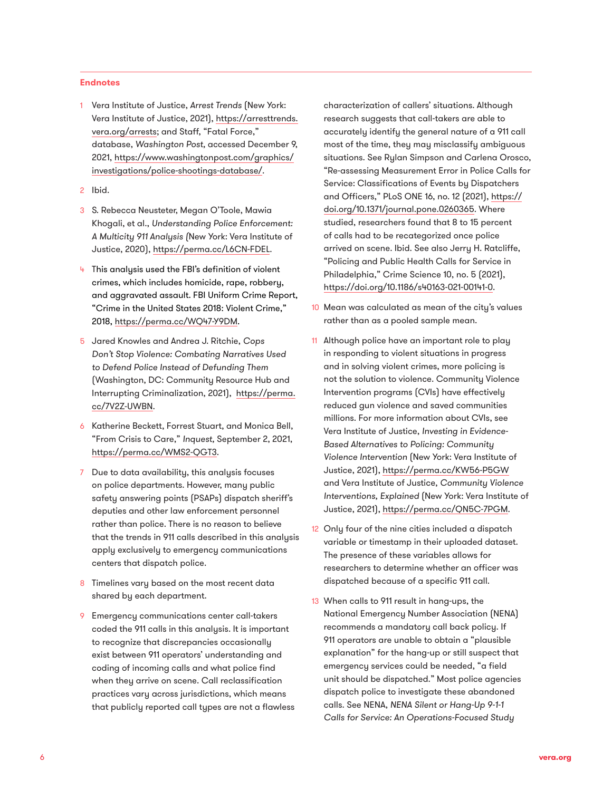#### **Endnotes**

- 1 Vera Institute of Justice, *Arrest Trends* (New York: Vera Institute of Justice, 2021), [https://arresttrends.](https://arresttrends.vera.org/) [vera.org/arrests;](https://arresttrends.vera.org/) and Staff, "Fatal Force," database, *Washington Post,* accessed December 9, 2021, [https://www.washingtonpost.com/graphics/](https://www.washingtonpost.com/graphics/investigations/police-shootings-database/) [investigations/police-shootings-database/](https://www.washingtonpost.com/graphics/investigations/police-shootings-database/).
- 2 Ibid.
- 3 S. Rebecca Neusteter, Megan O'Toole, Mawia Khogali, et al., *Understanding Police Enforcement: A Multicity 911 Analysis (*New York: Vera Institute of Justice, 2020),<https://perma.cc/L6CN-FDEL>.
- 4 This analysis used the FBI's definition of violent crimes, which includes homicide, rape, robbery, and aggravated assault. FBI Uniform Crime Report, "Crime in the United States 2018: Violent Crime," 2018, [https://perma.cc/WQ47-Y9DM.](https://perma.cc/WQ47-Y9DM)
- 5 Jared Knowles and Andrea J. Ritchie, *Cops Don't Stop Violence: Combating Narratives Used to Defend Police Instead of Defunding Them*  (Washington, DC: Community Resource Hub and Interrupting Criminalization, 2021), [https://perma.](https://perma.cc/7V2Z-UWBN) [cc/7V2Z-UWBN.](https://perma.cc/7V2Z-UWBN)
- 6 Katherine Beckett, Forrest Stuart, and Monica Bell, "From Crisis to Care," *Inquest,* September 2, 2021, [https://perma.cc/WMS2-QGT3.](https://perma.cc/WMS2-QGT3)
- 7 Due to data availability, this analysis focuses on police departments. However, many public safety answering points (PSAPs) dispatch sheriff's deputies and other law enforcement personnel rather than police. There is no reason to believe that the trends in 911 calls described in this analysis apply exclusively to emergency communications centers that dispatch police.
- 8 Timelines vary based on the most recent data shared by each department.
- 9 Emergency communications center call-takers coded the 911 calls in this analysis. It is important to recognize that discrepancies occasionally exist between 911 operators' understanding and coding of incoming calls and what police find when they arrive on scene. Call reclassification practices vary across jurisdictions, which means that publicly reported call types are not a flawless

characterization of callers' situations. Although research suggests that call-takers are able to accurately identify the general nature of a 911 call most of the time, they may misclassify ambiguous situations. See Rylan Simpson and Carlena Orosco, "Re-assessing Measurement Error in Police Calls for Service: Classifications of Events by Dispatchers and Officers," PLoS ONE 16, no. 12 (2021), [https://](https://doi.org/10.1371/journal.pone.0260365) [doi.org/10.1371/journal.pone.0260365.](https://doi.org/10.1371/journal.pone.0260365) Where studied, researchers found that 8 to 15 percent of calls had to be recategorized once police arrived on scene. Ibid. See also Jerry H. Ratcliffe, "Policing and Public Health Calls for Service in Philadelphia," Crime Science 10, no. 5 (2021), <https://doi.org/10.1186/s40163-021-00141-0>.

- 10 Mean was calculated as mean of the city's values rather than as a pooled sample mean.
- 11 Although police have an important role to play in responding to violent situations in progress and in solving violent crimes, more policing is not the solution to violence. Community Violence Intervention programs (CVIs) have effectively reduced gun violence and saved communities millions. For more information about CVIs, see Vera Institute of Justice, *Investing in Evidence-Based Alternatives to Policing: Community Violence Intervention* (New York: Vera Institute of Justice, 2021),<https://perma.cc/KW56-P5GW> and Vera Institute of Justice, *Community Violence Interventions, Explained* (New York: Vera Institute of Justice, 2021),<https://perma.cc/QN5C-7PGM>.
- 12 Only four of the nine cities included a dispatch variable or timestamp in their uploaded dataset. The presence of these variables allows for researchers to determine whether an officer was dispatched because of a specific 911 call.
- 13 When calls to 911 result in hang-ups, the National Emergency Number Association (NENA) recommends a mandatory call back policy. If 911 operators are unable to obtain a "plausible explanation" for the hang-up or still suspect that emergency services could be needed, "a field unit should be dispatched." Most police agencies dispatch police to investigate these abandoned calls. See NENA, *NENA Silent or Hang-Up 9-1-1 Calls for Service: An Operations-Focused Study*